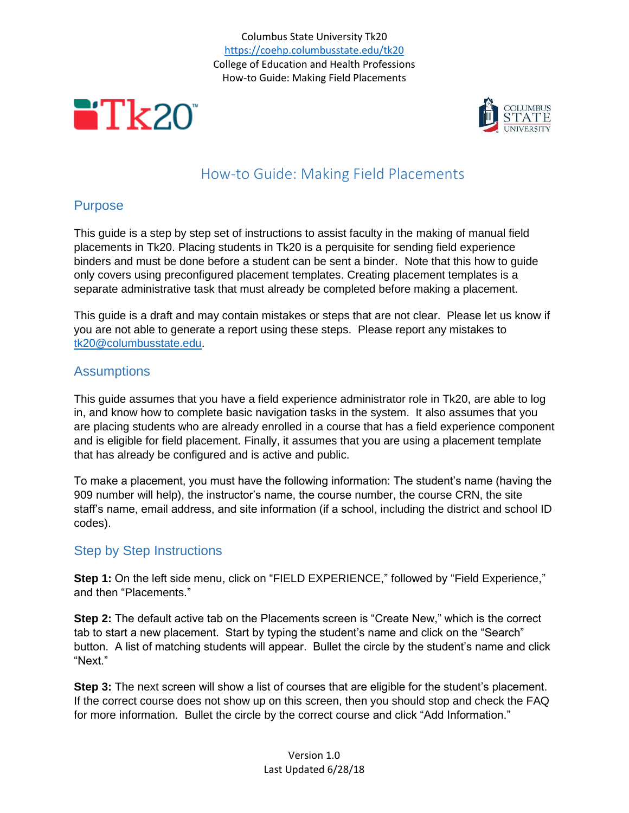Columbus State University Tk20 <https://coehp.columbusstate.edu/tk20> College of Education and Health Professions How-to Guide: Making Field Placements





# How-to Guide: Making Field Placements

## Purpose

This guide is a step by step set of instructions to assist faculty in the making of manual field placements in Tk20. Placing students in Tk20 is a perquisite for sending field experience binders and must be done before a student can be sent a binder. Note that this how to guide only covers using preconfigured placement templates. Creating placement templates is a separate administrative task that must already be completed before making a placement.

This guide is a draft and may contain mistakes or steps that are not clear. Please let us know if you are not able to generate a report using these steps. Please report any mistakes to [tk20@columbusstate.edu.](mailto:tk20@columbusstate.edu)

# **Assumptions**

This guide assumes that you have a field experience administrator role in Tk20, are able to log in, and know how to complete basic navigation tasks in the system. It also assumes that you are placing students who are already enrolled in a course that has a field experience component and is eligible for field placement. Finally, it assumes that you are using a placement template that has already be configured and is active and public.

To make a placement, you must have the following information: The student's name (having the 909 number will help), the instructor's name, the course number, the course CRN, the site staff's name, email address, and site information (if a school, including the district and school ID codes).

# Step by Step Instructions

**Step 1:** On the left side menu, click on "FIELD EXPERIENCE," followed by "Field Experience," and then "Placements."

**Step 2:** The default active tab on the Placements screen is "Create New," which is the correct tab to start a new placement. Start by typing the student's name and click on the "Search" button. A list of matching students will appear. Bullet the circle by the student's name and click "Next."

**Step 3:** The next screen will show a list of courses that are eligible for the student's placement. If the correct course does not show up on this screen, then you should stop and check the FAQ for more information. Bullet the circle by the correct course and click "Add Information."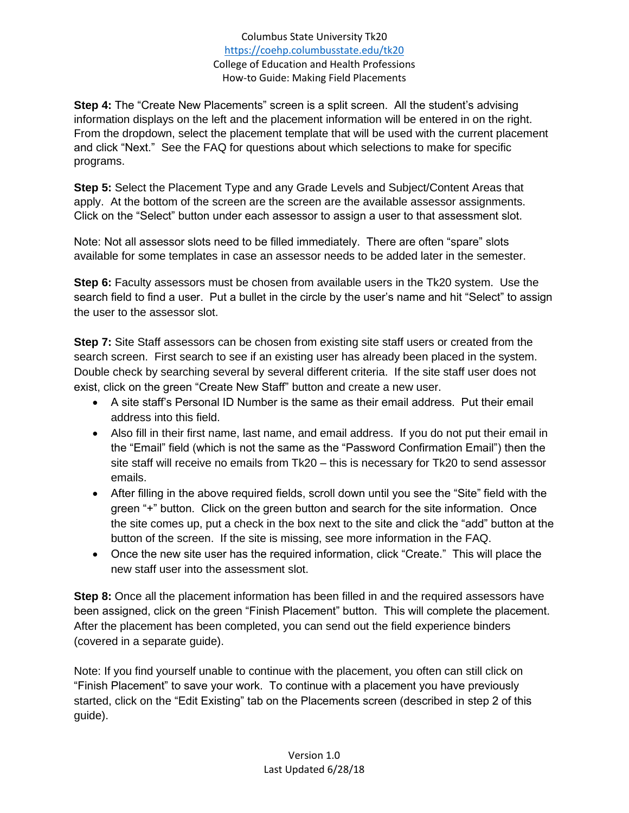Columbus State University Tk20 <https://coehp.columbusstate.edu/tk20> College of Education and Health Professions How-to Guide: Making Field Placements

**Step 4:** The "Create New Placements" screen is a split screen. All the student's advising information displays on the left and the placement information will be entered in on the right. From the dropdown, select the placement template that will be used with the current placement and click "Next." See the FAQ for questions about which selections to make for specific programs.

**Step 5:** Select the Placement Type and any Grade Levels and Subject/Content Areas that apply. At the bottom of the screen are the screen are the available assessor assignments. Click on the "Select" button under each assessor to assign a user to that assessment slot.

Note: Not all assessor slots need to be filled immediately. There are often "spare" slots available for some templates in case an assessor needs to be added later in the semester.

**Step 6:** Faculty assessors must be chosen from available users in the Tk20 system. Use the search field to find a user. Put a bullet in the circle by the user's name and hit "Select" to assign the user to the assessor slot.

**Step 7:** Site Staff assessors can be chosen from existing site staff users or created from the search screen. First search to see if an existing user has already been placed in the system. Double check by searching several by several different criteria. If the site staff user does not exist, click on the green "Create New Staff" button and create a new user.

- A site staff's Personal ID Number is the same as their email address. Put their email address into this field.
- Also fill in their first name, last name, and email address. If you do not put their email in the "Email" field (which is not the same as the "Password Confirmation Email") then the site staff will receive no emails from Tk20 – this is necessary for Tk20 to send assessor emails.
- After filling in the above required fields, scroll down until you see the "Site" field with the green "+" button. Click on the green button and search for the site information. Once the site comes up, put a check in the box next to the site and click the "add" button at the button of the screen. If the site is missing, see more information in the FAQ.
- Once the new site user has the required information, click "Create." This will place the new staff user into the assessment slot.

**Step 8:** Once all the placement information has been filled in and the required assessors have been assigned, click on the green "Finish Placement" button. This will complete the placement. After the placement has been completed, you can send out the field experience binders (covered in a separate guide).

Note: If you find yourself unable to continue with the placement, you often can still click on "Finish Placement" to save your work. To continue with a placement you have previously started, click on the "Edit Existing" tab on the Placements screen (described in step 2 of this guide).